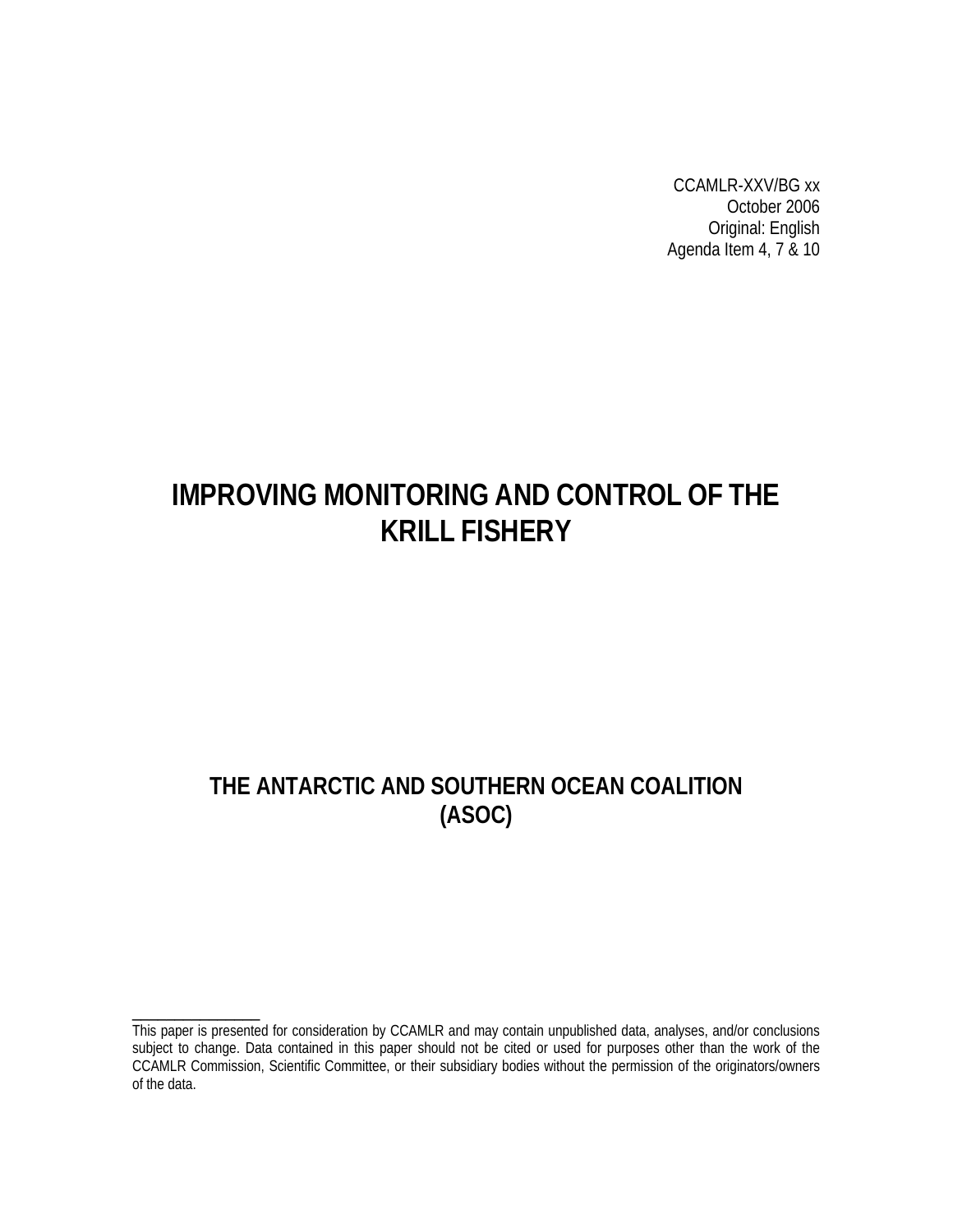CCAMLR-XXV/BG xx October 2006 Original: English Agenda Item 4, 7 & 10

# **IMPROVING MONITORING AND CONTROL OF THE KRILL FISHERY**

# **THE ANTARCTIC AND SOUTHERN OCEAN COALITION (ASOC)**

\_\_\_\_\_\_\_\_\_\_\_\_\_\_\_

This paper is presented for consideration by CCAMLR and may contain unpublished data, analyses, and/or conclusions subject to change. Data contained in this paper should not be cited or used for purposes other than the work of the CCAMLR Commission, Scientific Committee, or their subsidiary bodies without the permission of the originators/owners of the data.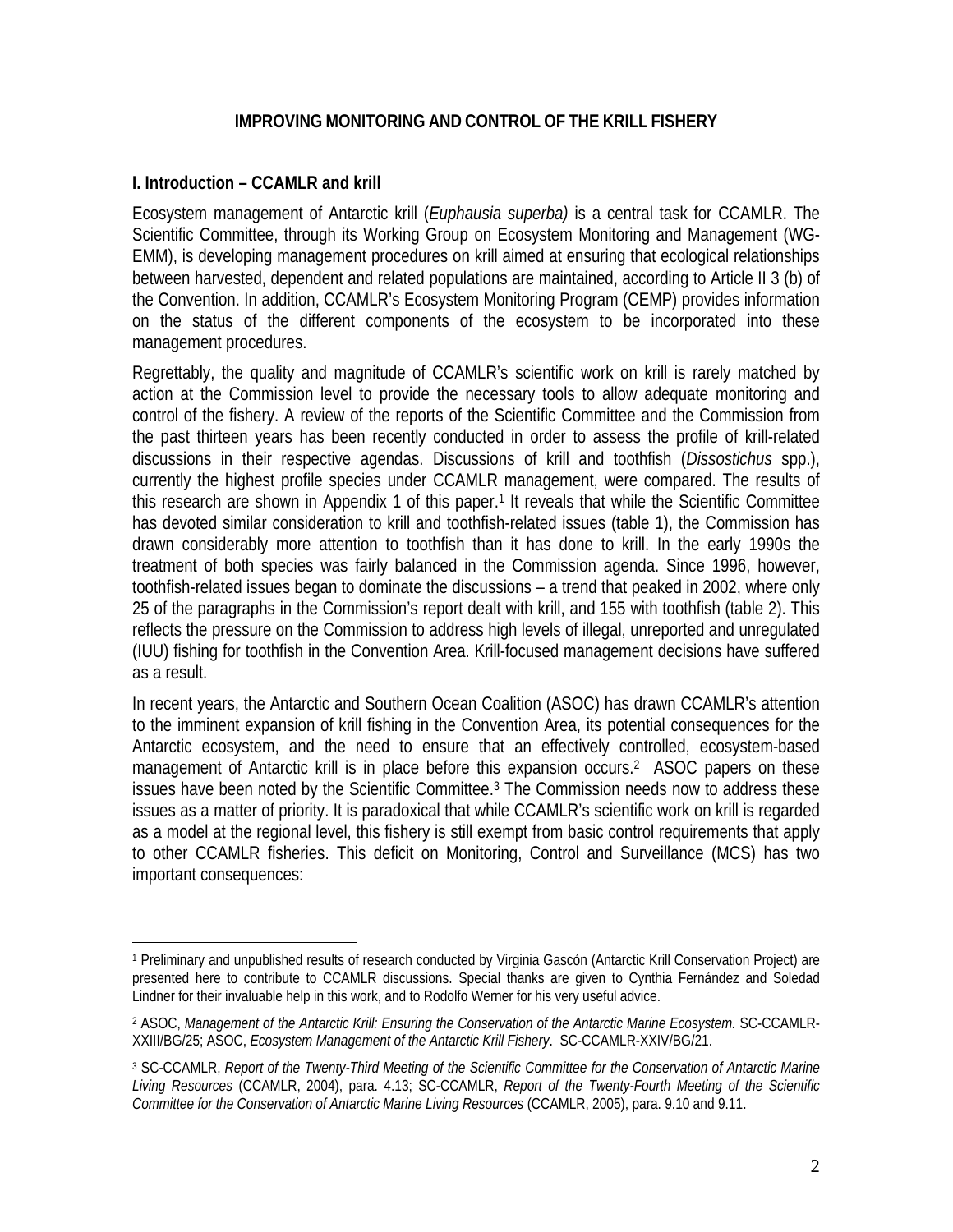#### **IMPROVING MONITORING AND CONTROL OF THE KRILL FISHERY**

#### **I. Introduction – CCAMLR and krill**

<u>.</u>

Ecosystem management of Antarctic krill (*Euphausia superba)* is a central task for CCAMLR. The Scientific Committee, through its Working Group on Ecosystem Monitoring and Management (WG-EMM), is developing management procedures on krill aimed at ensuring that ecological relationships between harvested, dependent and related populations are maintained, according to Article II 3 (b) of the Convention. In addition, CCAMLR's Ecosystem Monitoring Program (CEMP) provides information on the status of the different components of the ecosystem to be incorporated into these management procedures.

Regrettably, the quality and magnitude of CCAMLR's scientific work on krill is rarely matched by action at the Commission level to provide the necessary tools to allow adequate monitoring and control of the fishery. A review of the reports of the Scientific Committee and the Commission from the past thirteen years has been recently conducted in order to assess the profile of krill-related discussions in their respective agendas. Discussions of krill and toothfish (*Dissostichus* spp.), currently the highest profile species under CCAMLR management, were compared. The results of this research are shown in Appendix 1 of this paper.1 It reveals that while the Scientific Committee has devoted similar consideration to krill and toothfish-related issues (table 1), the Commission has drawn considerably more attention to toothfish than it has done to krill. In the early 1990s the treatment of both species was fairly balanced in the Commission agenda. Since 1996, however, toothfish-related issues began to dominate the discussions – a trend that peaked in 2002, where only 25 of the paragraphs in the Commission's report dealt with krill, and 155 with toothfish (table 2). This reflects the pressure on the Commission to address high levels of illegal, unreported and unregulated (IUU) fishing for toothfish in the Convention Area. Krill-focused management decisions have suffered as a result.

In recent years, the Antarctic and Southern Ocean Coalition (ASOC) has drawn CCAMLR's attention to the imminent expansion of krill fishing in the Convention Area, its potential consequences for the Antarctic ecosystem, and the need to ensure that an effectively controlled, ecosystem-based management of Antarctic krill is in place before this expansion occurs.<sup>2</sup> ASOC papers on these issues have been noted by the Scientific Committee.3 The Commission needs now to address these issues as a matter of priority. It is paradoxical that while CCAMLR's scientific work on krill is regarded as a model at the regional level, this fishery is still exempt from basic control requirements that apply to other CCAMLR fisheries. This deficit on Monitoring, Control and Surveillance (MCS) has two important consequences:

<sup>1</sup> Preliminary and unpublished results of research conducted by Virginia Gascón (Antarctic Krill Conservation Project) are presented here to contribute to CCAMLR discussions. Special thanks are given to Cynthia Fernández and Soledad Lindner for their invaluable help in this work, and to Rodolfo Werner for his very useful advice.

<sup>&</sup>lt;sup>2</sup> ASOC, Management of the Antarctic Krill: Ensuring the Conservation of the Antarctic Marine Ecosystem. SC-CCAMLR-XXIII/BG/25; ASOC, *Ecosystem Management of the Antarctic Krill Fishery*. SC-CCAMLR-XXIV/BG/21.

<sup>3</sup> SC-CCAMLR, *Report of the Twenty-Third Meeting of the Scientific Committee for the Conservation of Antarctic Marine Living Resources* (CCAMLR, 2004), para. 4.13; SC-CCAMLR, *Report of the Twenty-Fourth Meeting of the Scientific Committee for the Conservation of Antarctic Marine Living Resources* (CCAMLR, 2005), para. 9.10 and 9.11.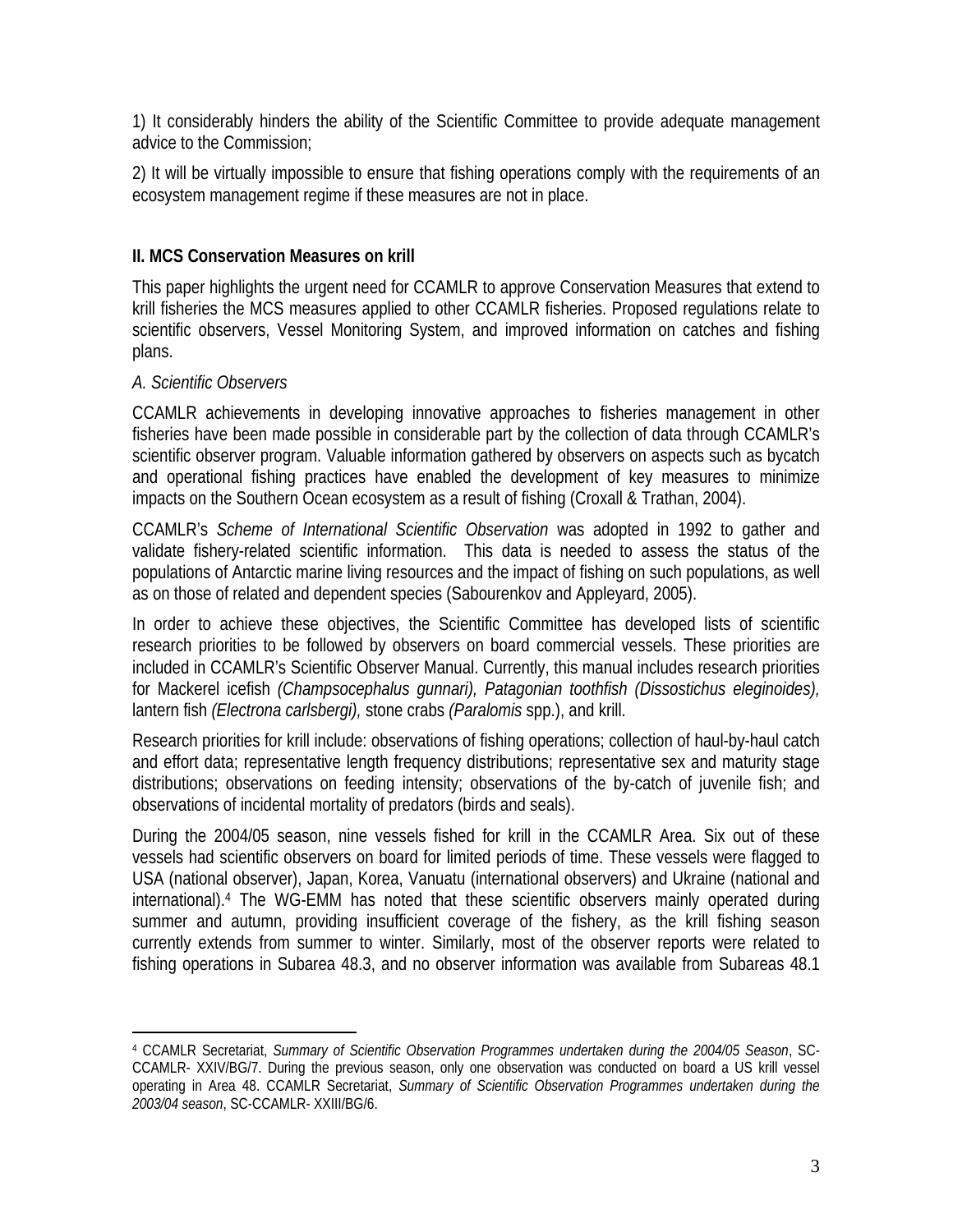1) It considerably hinders the ability of the Scientific Committee to provide adequate management advice to the Commission;

2) It will be virtually impossible to ensure that fishing operations comply with the requirements of an ecosystem management regime if these measures are not in place.

#### **II. MCS Conservation Measures on krill**

This paper highlights the urgent need for CCAMLR to approve Conservation Measures that extend to krill fisheries the MCS measures applied to other CCAMLR fisheries. Proposed regulations relate to scientific observers, Vessel Monitoring System, and improved information on catches and fishing plans.

#### *A. Scientific Observers*

1

CCAMLR achievements in developing innovative approaches to fisheries management in other fisheries have been made possible in considerable part by the collection of data through CCAMLR's scientific observer program. Valuable information gathered by observers on aspects such as bycatch and operational fishing practices have enabled the development of key measures to minimize impacts on the Southern Ocean ecosystem as a result of fishing (Croxall & Trathan, 2004).

CCAMLR's *Scheme of International Scientific Observation* was adopted in 1992 to gather and validate fishery-related scientific information. This data is needed to assess the status of the populations of Antarctic marine living resources and the impact of fishing on such populations, as well as on those of related and dependent species (Sabourenkov and Appleyard, 2005).

In order to achieve these objectives, the Scientific Committee has developed lists of scientific research priorities to be followed by observers on board commercial vessels. These priorities are included in CCAMLR's Scientific Observer Manual. Currently, this manual includes research priorities for Mackerel icefish *(Champsocephalus gunnari), Patagonian toothfish (Dissostichus eleginoides),*  lantern fish *(Electrona carlsbergi),* stone crabs *(Paralomis* spp.), and krill.

Research priorities for krill include: observations of fishing operations; collection of haul-by-haul catch and effort data; representative length frequency distributions; representative sex and maturity stage distributions; observations on feeding intensity; observations of the by-catch of juvenile fish; and observations of incidental mortality of predators (birds and seals).

During the 2004/05 season, nine vessels fished for krill in the CCAMLR Area. Six out of these vessels had scientific observers on board for limited periods of time. These vessels were flagged to USA (national observer), Japan, Korea, Vanuatu (international observers) and Ukraine (national and international).4 The WG-EMM has noted that these scientific observers mainly operated during summer and autumn, providing insufficient coverage of the fishery, as the krill fishing season currently extends from summer to winter. Similarly, most of the observer reports were related to fishing operations in Subarea 48.3, and no observer information was available from Subareas 48.1

<sup>4</sup> CCAMLR Secretariat, *Summary of Scientific Observation Programmes undertaken during the 2004/05 Season*, SC-CCAMLR- XXIV/BG/7. During the previous season, only one observation was conducted on board a US krill vessel operating in Area 48. CCAMLR Secretariat, *Summary of Scientific Observation Programmes undertaken during the 2003/04 season*, SC-CCAMLR- XXIII/BG/6.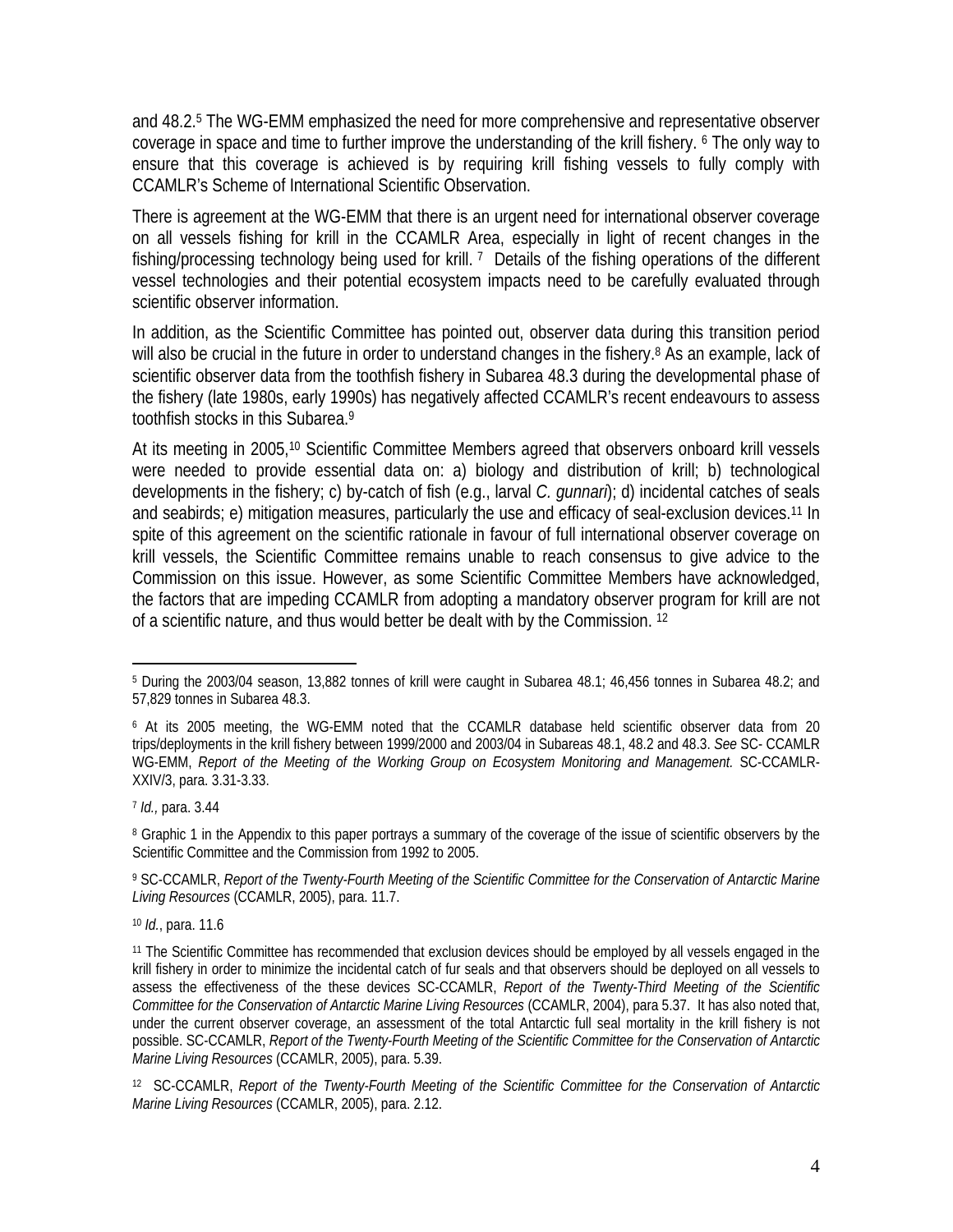and 48.2.5 The WG-EMM emphasized the need for more comprehensive and representative observer coverage in space and time to further improve the understanding of the krill fishery. 6 The only way to ensure that this coverage is achieved is by requiring krill fishing vessels to fully comply with CCAMLR's Scheme of International Scientific Observation.

There is agreement at the WG-EMM that there is an urgent need for international observer coverage on all vessels fishing for krill in the CCAMLR Area, especially in light of recent changes in the fishing/processing technology being used for krill. 7 Details of the fishing operations of the different vessel technologies and their potential ecosystem impacts need to be carefully evaluated through scientific observer information.

In addition, as the Scientific Committee has pointed out, observer data during this transition period will also be crucial in the future in order to understand changes in the fishery.<sup>8</sup> As an example, lack of scientific observer data from the toothfish fishery in Subarea 48.3 during the developmental phase of the fishery (late 1980s, early 1990s) has negatively affected CCAMLR's recent endeavours to assess toothfish stocks in this Subarea.9

At its meeting in 2005,10 Scientific Committee Members agreed that observers onboard krill vessels were needed to provide essential data on: a) biology and distribution of krill; b) technological developments in the fishery; c) by-catch of fish (e.g., larval *C. gunnari*); d) incidental catches of seals and seabirds; e) mitigation measures, particularly the use and efficacy of seal-exclusion devices.<sup>11</sup> In spite of this agreement on the scientific rationale in favour of full international observer coverage on krill vessels, the Scientific Committee remains unable to reach consensus to give advice to the Commission on this issue. However, as some Scientific Committee Members have acknowledged, the factors that are impeding CCAMLR from adopting a mandatory observer program for krill are not of a scientific nature, and thus would better be dealt with by the Commission. 12

<sup>1</sup> 5 During the 2003/04 season, 13,882 tonnes of krill were caught in Subarea 48.1; 46,456 tonnes in Subarea 48.2; and 57,829 tonnes in Subarea 48.3.

<sup>6</sup> At its 2005 meeting, the WG-EMM noted that the CCAMLR database held scientific observer data from 20 trips/deployments in the krill fishery between 1999/2000 and 2003/04 in Subareas 48.1, 48.2 and 48.3. *See* SC- CCAMLR WG-EMM, Report of the Meeting of the Working Group on Ecosystem Monitoring and Management. SC-CCAMLR-XXIV/3, para. 3.31-3.33.

<sup>7</sup> *Id.,* para. 3.44

<sup>&</sup>lt;sup>8</sup> Graphic 1 in the Appendix to this paper portrays a summary of the coverage of the issue of scientific observers by the Scientific Committee and the Commission from 1992 to 2005.

<sup>9</sup> SC-CCAMLR, *Report of the Twenty-Fourth Meeting of the Scientific Committee for the Conservation of Antarctic Marine Living Resources* (CCAMLR, 2005), para. 11.7.

<sup>10</sup> *Id.*, para. 11.6

<sup>11</sup> The Scientific Committee has recommended that exclusion devices should be employed by all vessels engaged in the krill fishery in order to minimize the incidental catch of fur seals and that observers should be deployed on all vessels to assess the effectiveness of the these devices SC-CCAMLR, *Report of the Twenty-Third Meeting of the Scientific Committee for the Conservation of Antarctic Marine Living Resources* (CCAMLR, 2004), para 5.37. It has also noted that, under the current observer coverage, an assessment of the total Antarctic full seal mortality in the krill fishery is not possible. SC-CCAMLR, *Report of the Twenty-Fourth Meeting of the Scientific Committee for the Conservation of Antarctic Marine Living Resources* (CCAMLR, 2005), para. 5.39.

<sup>12</sup> SC-CCAMLR, *Report of the Twenty-Fourth Meeting of the Scientific Committee for the Conservation of Antarctic Marine Living Resources* (CCAMLR, 2005), para. 2.12.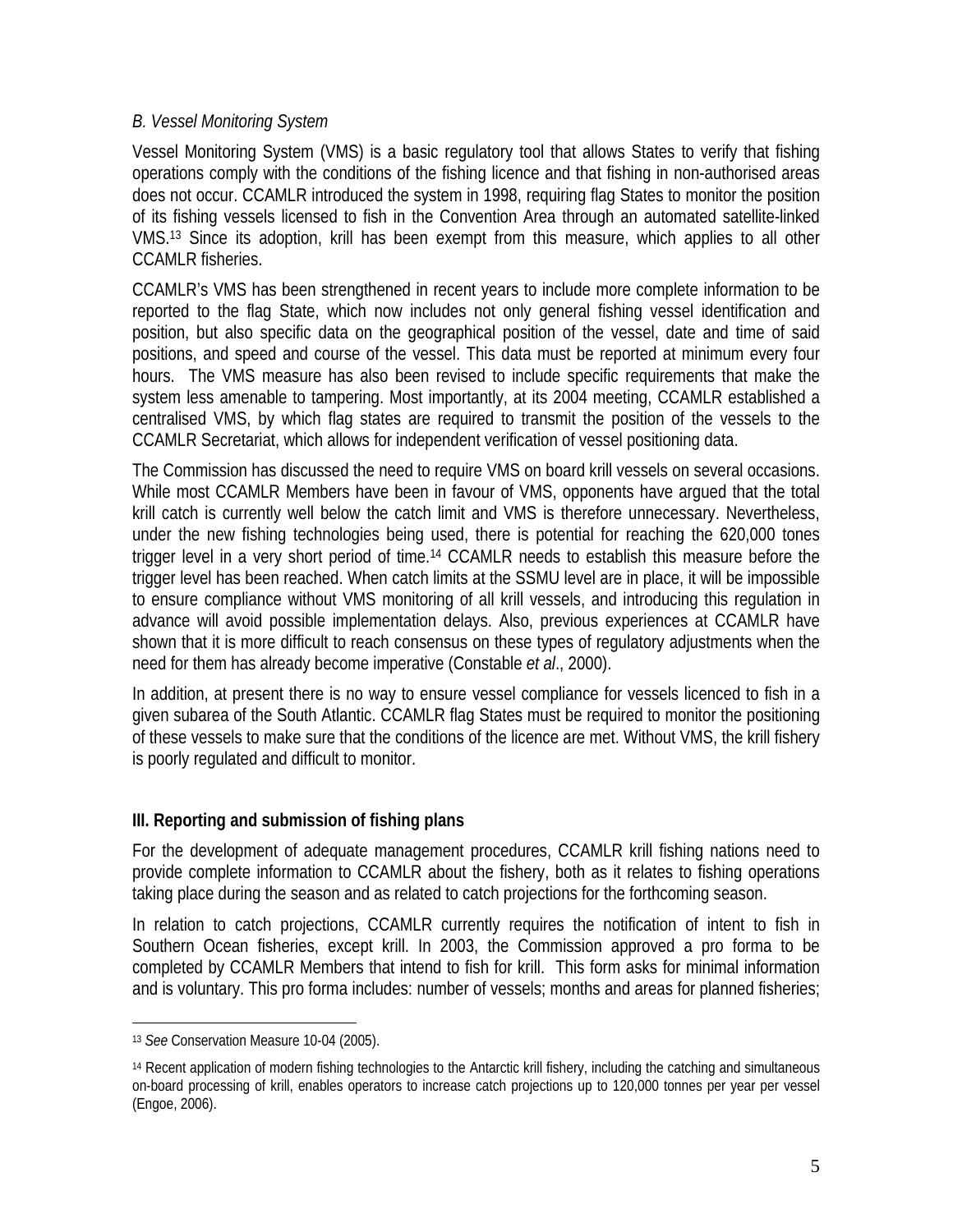#### *B. Vessel Monitoring System*

Vessel Monitoring System (VMS) is a basic regulatory tool that allows States to verify that fishing operations comply with the conditions of the fishing licence and that fishing in non-authorised areas does not occur. CCAMLR introduced the system in 1998, requiring flag States to monitor the position of its fishing vessels licensed to fish in the Convention Area through an automated satellite-linked VMS.13 Since its adoption, krill has been exempt from this measure, which applies to all other CCAMLR fisheries.

CCAMLR's VMS has been strengthened in recent years to include more complete information to be reported to the flag State, which now includes not only general fishing vessel identification and position, but also specific data on the geographical position of the vessel, date and time of said positions, and speed and course of the vessel. This data must be reported at minimum every four hours. The VMS measure has also been revised to include specific requirements that make the system less amenable to tampering. Most importantly, at its 2004 meeting, CCAMLR established a centralised VMS, by which flag states are required to transmit the position of the vessels to the CCAMLR Secretariat, which allows for independent verification of vessel positioning data.

The Commission has discussed the need to require VMS on board krill vessels on several occasions. While most CCAMLR Members have been in favour of VMS, opponents have argued that the total krill catch is currently well below the catch limit and VMS is therefore unnecessary. Nevertheless, under the new fishing technologies being used, there is potential for reaching the 620,000 tones trigger level in a very short period of time.14 CCAMLR needs to establish this measure before the trigger level has been reached. When catch limits at the SSMU level are in place, it will be impossible to ensure compliance without VMS monitoring of all krill vessels, and introducing this regulation in advance will avoid possible implementation delays. Also, previous experiences at CCAMLR have shown that it is more difficult to reach consensus on these types of regulatory adjustments when the need for them has already become imperative (Constable *et al*., 2000).

In addition, at present there is no way to ensure vessel compliance for vessels licenced to fish in a given subarea of the South Atlantic. CCAMLR flag States must be required to monitor the positioning of these vessels to make sure that the conditions of the licence are met. Without VMS, the krill fishery is poorly regulated and difficult to monitor.

#### **III. Reporting and submission of fishing plans**

For the development of adequate management procedures, CCAMLR krill fishing nations need to provide complete information to CCAMLR about the fishery, both as it relates to fishing operations taking place during the season and as related to catch projections for the forthcoming season.

In relation to catch projections, CCAMLR currently requires the notification of intent to fish in Southern Ocean fisheries, except krill. In 2003, the Commission approved a pro forma to be completed by CCAMLR Members that intend to fish for krill. This form asks for minimal information and is voluntary. This pro forma includes: number of vessels; months and areas for planned fisheries;

1

<sup>13</sup> *See* Conservation Measure 10-04 (2005).

<sup>14</sup> Recent application of modern fishing technologies to the Antarctic krill fishery, including the catching and simultaneous on-board processing of krill, enables operators to increase catch projections up to 120,000 tonnes per year per vessel (Engoe, 2006).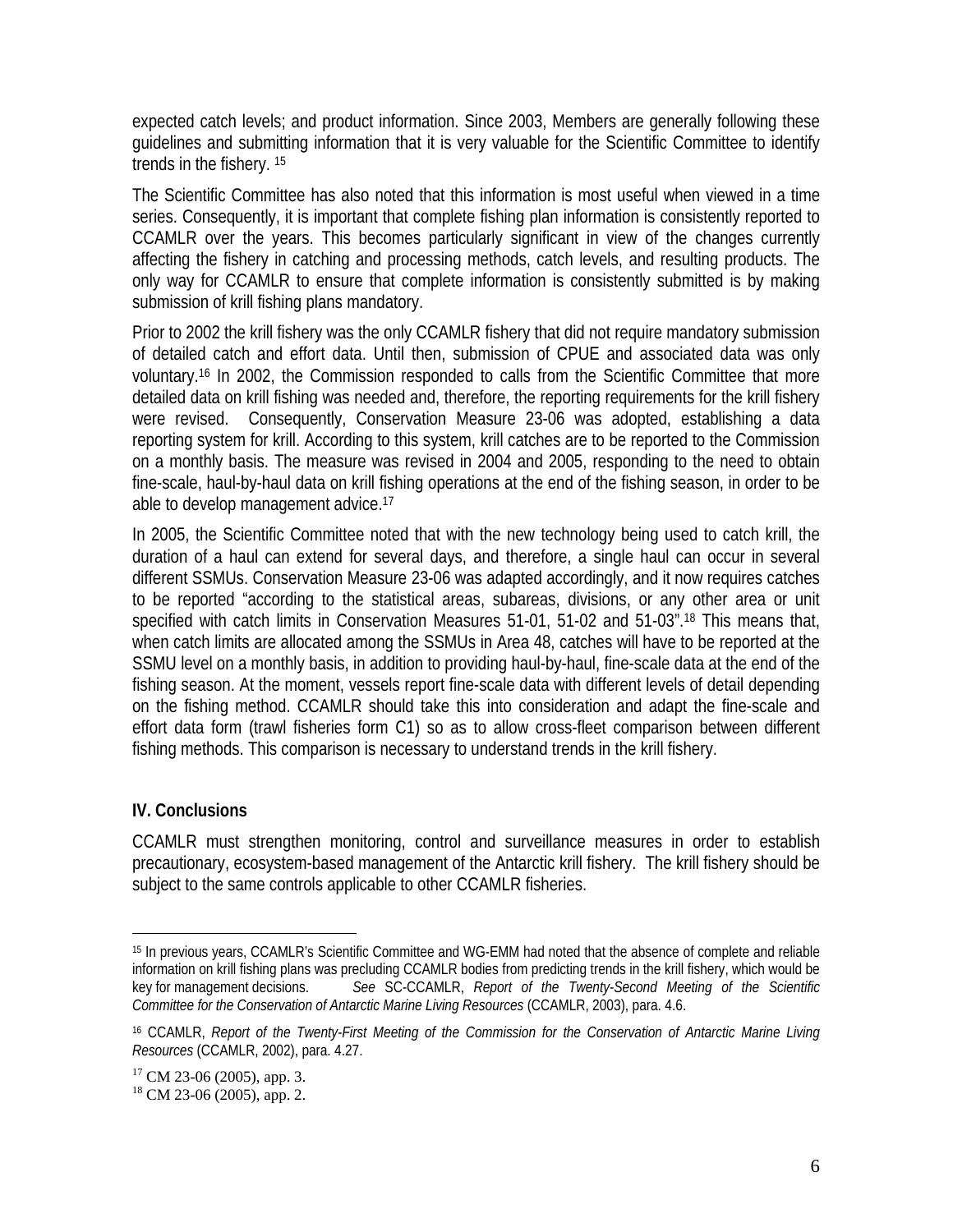expected catch levels; and product information. Since 2003, Members are generally following these guidelines and submitting information that it is very valuable for the Scientific Committee to identify trends in the fishery. 15

The Scientific Committee has also noted that this information is most useful when viewed in a time series. Consequently, it is important that complete fishing plan information is consistently reported to CCAMLR over the years. This becomes particularly significant in view of the changes currently affecting the fishery in catching and processing methods, catch levels, and resulting products. The only way for CCAMLR to ensure that complete information is consistently submitted is by making submission of krill fishing plans mandatory.

Prior to 2002 the krill fishery was the only CCAMLR fishery that did not require mandatory submission of detailed catch and effort data. Until then, submission of CPUE and associated data was only voluntary.16 In 2002, the Commission responded to calls from the Scientific Committee that more detailed data on krill fishing was needed and, therefore, the reporting requirements for the krill fishery were revised. Consequently, Conservation Measure 23-06 was adopted, establishing a data reporting system for krill. According to this system, krill catches are to be reported to the Commission on a monthly basis. The measure was revised in 2004 and 2005, responding to the need to obtain fine-scale, haul-by-haul data on krill fishing operations at the end of the fishing season, in order to be able to develop management advice.17

In 2005, the Scientific Committee noted that with the new technology being used to catch krill, the duration of a haul can extend for several days, and therefore, a single haul can occur in several different SSMUs. Conservation Measure 23-06 was adapted accordingly, and it now requires catches to be reported "according to the statistical areas, subareas, divisions, or any other area or unit specified with catch limits in Conservation Measures 51-01, 51-02 and 51-03".18 This means that, when catch limits are allocated among the SSMUs in Area 48, catches will have to be reported at the SSMU level on a monthly basis, in addition to providing haul-by-haul, fine-scale data at the end of the fishing season. At the moment, vessels report fine-scale data with different levels of detail depending on the fishing method. CCAMLR should take this into consideration and adapt the fine-scale and effort data form (trawl fisheries form C1) so as to allow cross-fleet comparison between different fishing methods. This comparison is necessary to understand trends in the krill fishery.

#### **IV. Conclusions**

1

CCAMLR must strengthen monitoring, control and surveillance measures in order to establish precautionary, ecosystem-based management of the Antarctic krill fishery. The krill fishery should be subject to the same controls applicable to other CCAMLR fisheries.

<sup>15</sup> In previous years, CCAMLR's Scientific Committee and WG-EMM had noted that the absence of complete and reliable information on krill fishing plans was precluding CCAMLR bodies from predicting trends in the krill fishery, which would be key for management decisions. *See* SC-CCAMLR, *Report of the Twenty-Second Meeting of the Scientific Committee for the Conservation of Antarctic Marine Living Resources* (CCAMLR, 2003), para. 4.6.

<sup>16</sup> CCAMLR, *Report of the Twenty-First Meeting of the Commission for the Conservation of Antarctic Marine Living Resources* (CCAMLR, 2002), para. 4.27.

 $17$  CM 23-06 (2005), app. 3.

<sup>18</sup> CM 23-06 (2005), app. 2.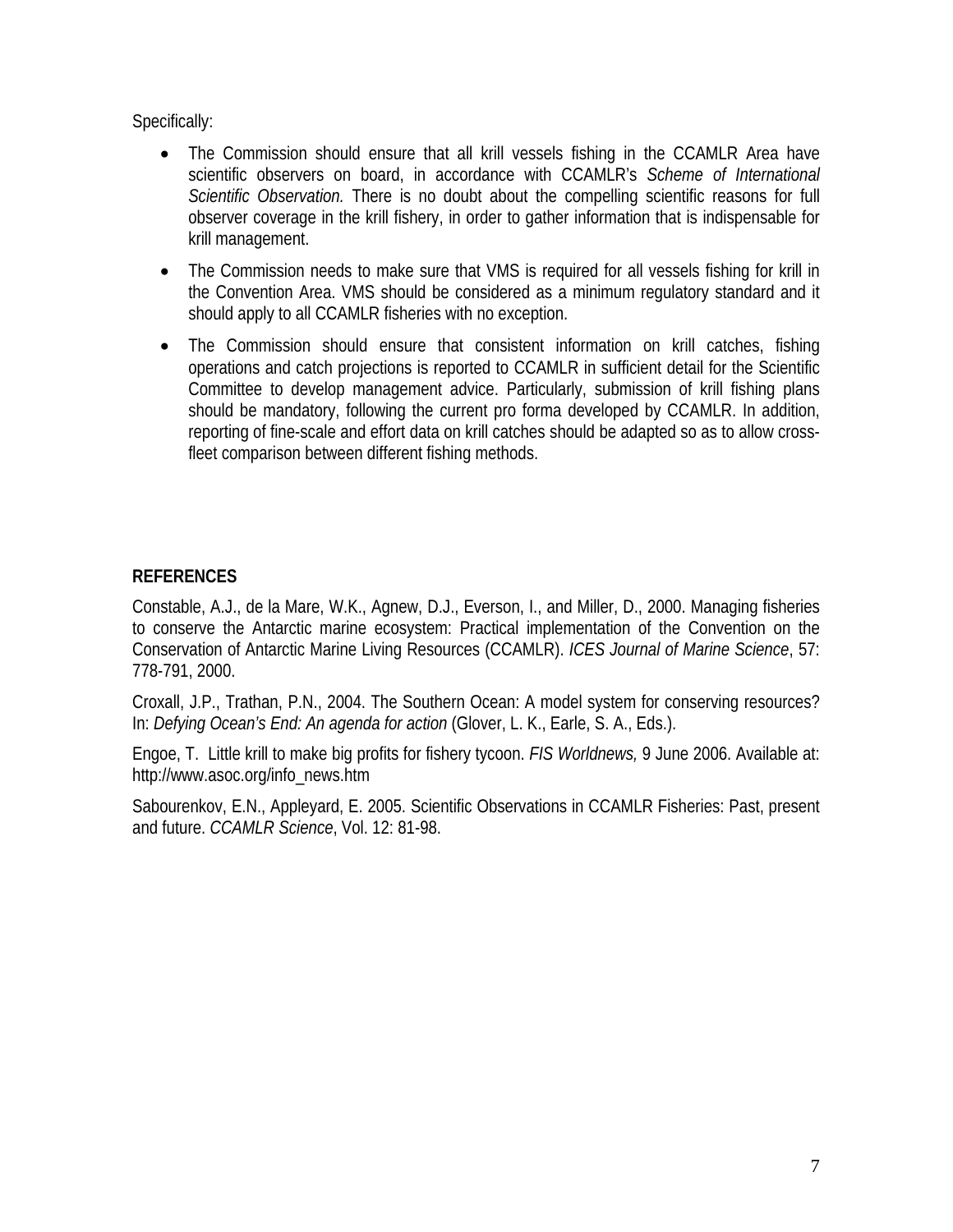Specifically:

- The Commission should ensure that all krill vessels fishing in the CCAMLR Area have scientific observers on board, in accordance with CCAMLR's *Scheme of International Scientific Observation.* There is no doubt about the compelling scientific reasons for full observer coverage in the krill fishery, in order to gather information that is indispensable for krill management.
- The Commission needs to make sure that VMS is required for all vessels fishing for krill in the Convention Area. VMS should be considered as a minimum regulatory standard and it should apply to all CCAMLR fisheries with no exception.
- The Commission should ensure that consistent information on krill catches, fishing operations and catch projections is reported to CCAMLR in sufficient detail for the Scientific Committee to develop management advice. Particularly, submission of krill fishing plans should be mandatory, following the current pro forma developed by CCAMLR. In addition, reporting of fine-scale and effort data on krill catches should be adapted so as to allow crossfleet comparison between different fishing methods.

## **REFERENCES**

Constable, A.J., de la Mare, W.K., Agnew, D.J., Everson, I., and Miller, D., 2000. Managing fisheries to conserve the Antarctic marine ecosystem: Practical implementation of the Convention on the Conservation of Antarctic Marine Living Resources (CCAMLR). *ICES Journal of Marine Science*, 57: 778-791, 2000.

Croxall, J.P., Trathan, P.N., 2004. The Southern Ocean: A model system for conserving resources? In: *Defying Ocean's End: An agenda for action* (Glover, L. K., Earle, S. A., Eds.).

Engoe, T. Little krill to make big profits for fishery tycoon. *FIS Worldnews,* 9 June 2006. Available at: http://www.asoc.org/info\_news.htm

Sabourenkov, E.N., Appleyard, E. 2005. Scientific Observations in CCAMLR Fisheries: Past, present and future. *CCAMLR Science*, Vol. 12: 81-98.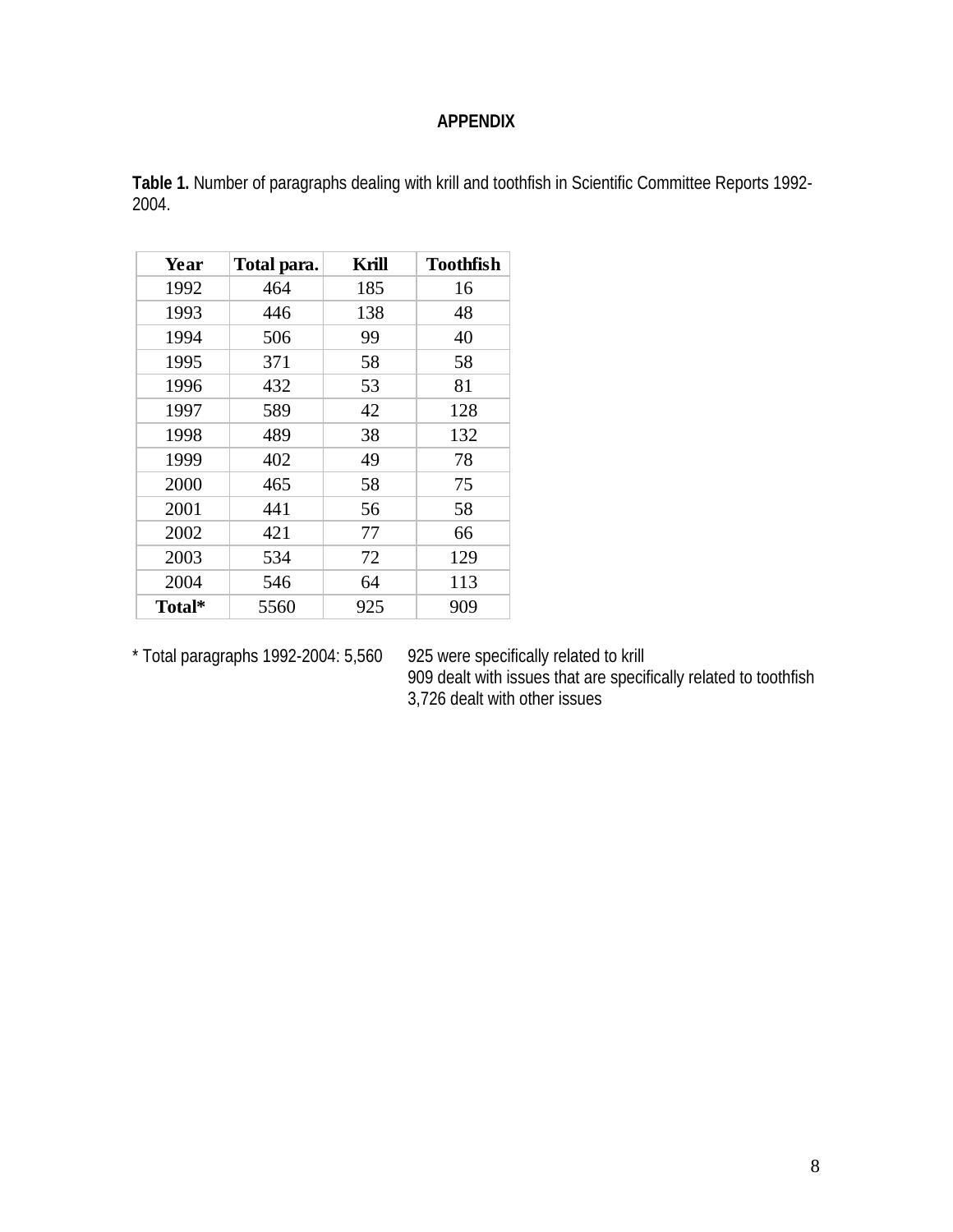### **APPENDIX**

| Year   | Total para. | Krill | <b>Toothfish</b> |
|--------|-------------|-------|------------------|
| 1992   | 464         | 185   | 16               |
| 1993   | 446         | 138   | 48               |
| 1994   | 506         | 99    | 40               |
| 1995   | 371         | 58    | 58               |
| 1996   | 432         | 53    | 81               |
| 1997   | 589         | 42    | 128              |
| 1998   | 489         | 38    | 132              |
| 1999   | 402         | 49    | 78               |
| 2000   | 465         | 58    | 75               |
| 2001   | 441         | 56    | 58               |
| 2002   | 421         | 77    | 66               |
| 2003   | 534         | 72    | 129              |
| 2004   | 546         | 64    | 113              |
| Total* | 5560        | 925   | 909              |

 $*$  Total paragraphs 1992-2004: 5,560

925 were specifically related to krill<br>909 dealt with issues that are specifically related to toothfish 3,726 dealt with other issues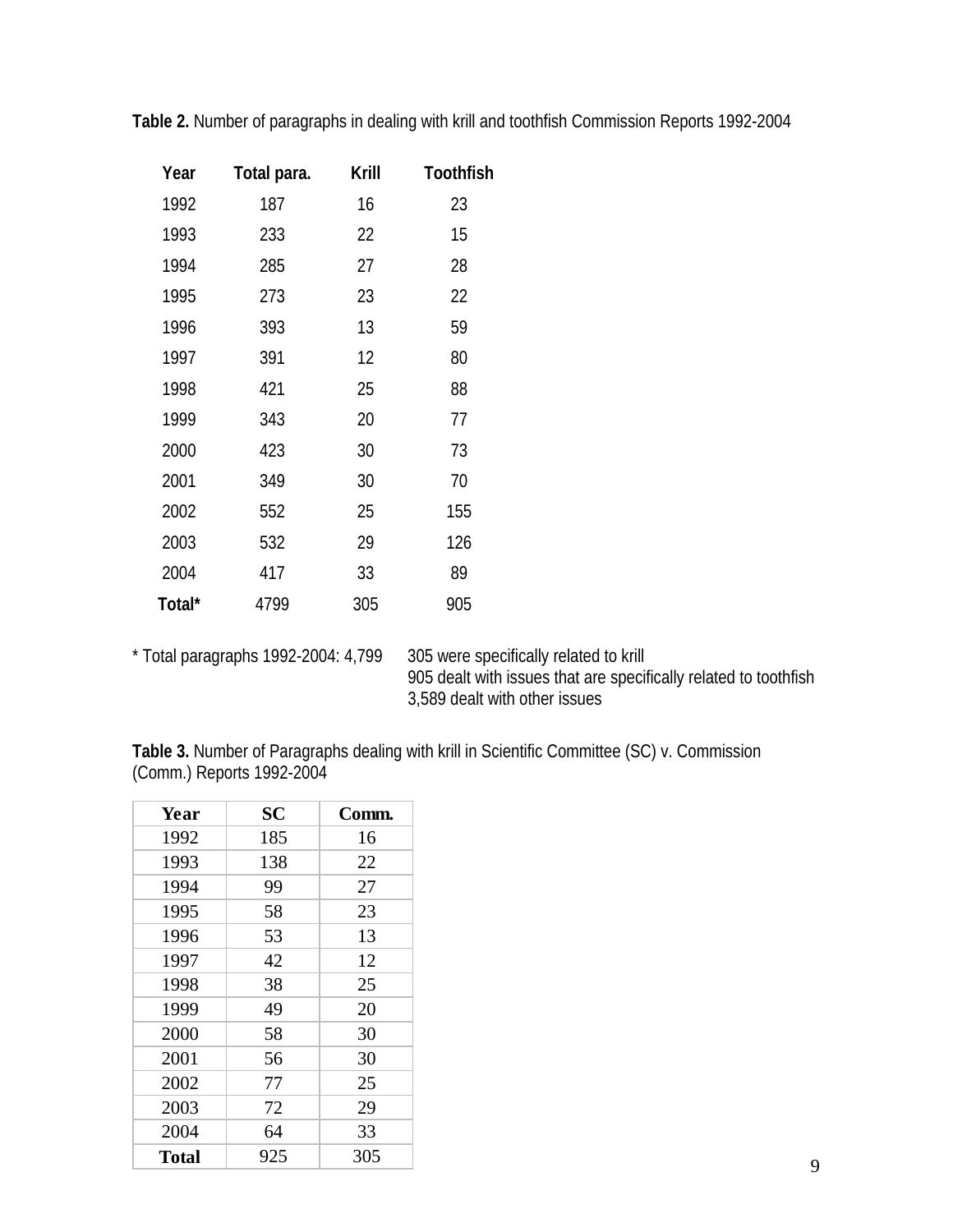| Year   | Total para. | Krill | <b>Toothfish</b> |
|--------|-------------|-------|------------------|
| 1992   | 187         | 16    | 23               |
| 1993   | 233         | 22    | 15               |
| 1994   | 285         | 27    | 28               |
| 1995   | 273         | 23    | 22               |
| 1996   | 393         | 13    | 59               |
| 1997   | 391         | 12    | 80               |
| 1998   | 421         | 25    | 88               |
| 1999   | 343         | 20    | 77               |
| 2000   | 423         | 30    | 73               |
| 2001   | 349         | 30    | 70               |
| 2002   | 552         | 25    | 155              |
| 2003   | 532         | 29    | 126              |
| 2004   | 417         | 33    | 89               |
| Total* | 4799        | 305   | 905              |

**Table 2.** Number of paragraphs in dealing with krill and toothfish Commission Reports 1992-2004

\* Total paragraphs 1992-2004: 4,799 305 were specifically related to krill 905 dealt with issues that are specifically related to toothfish 3,589 dealt with other issues

**Table 3.** Number of Paragraphs dealing with krill in Scientific Committee (SC) v. Commission (Comm.) Reports 1992-2004

| Year         | <b>SC</b> | Comm. |
|--------------|-----------|-------|
| 1992         | 185       | 16    |
| 1993         | 138       | 22    |
| 1994         | 99        | 27    |
| 1995         | 58        | 23    |
| 1996         | 53        | 13    |
| 1997         | 42        | 12    |
| 1998         | 38        | 25    |
| 1999         | 49        | 20    |
| 2000         | 58        | 30    |
| 2001         | 56        | 30    |
| 2002         | 77        | 25    |
| 2003         | 72        | 29    |
| 2004         | 64        | 33    |
| <b>Total</b> | 925       | 305   |